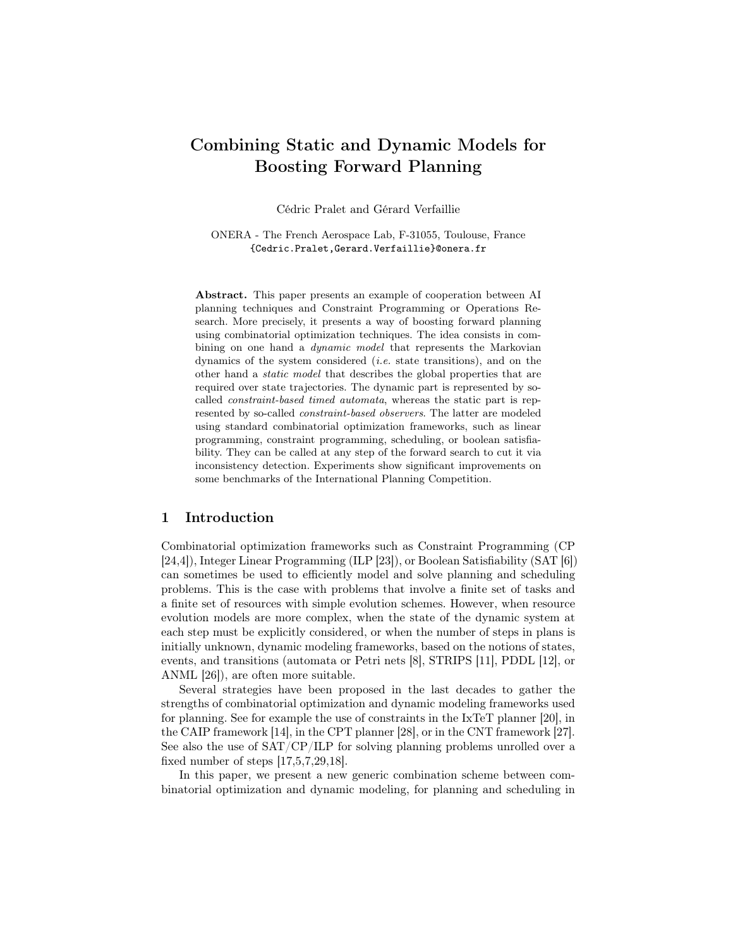# Combining Static and Dynamic Models for Boosting Forward Planning

Cédric Pralet and Gérard Verfaillie

ONERA - The French Aerospace Lab, F-31055, Toulouse, France {Cedric.Pralet,Gerard.Verfaillie}@onera.fr

Abstract. This paper presents an example of cooperation between AI planning techniques and Constraint Programming or Operations Research. More precisely, it presents a way of boosting forward planning using combinatorial optimization techniques. The idea consists in combining on one hand a *dynamic model* that represents the Markovian dynamics of the system considered  $(i.e.$  state transitions), and on the other hand a static model that describes the global properties that are required over state trajectories. The dynamic part is represented by socalled constraint-based timed automata, whereas the static part is represented by so-called constraint-based observers. The latter are modeled using standard combinatorial optimization frameworks, such as linear programming, constraint programming, scheduling, or boolean satisfiability. They can be called at any step of the forward search to cut it via inconsistency detection. Experiments show significant improvements on some benchmarks of the International Planning Competition.

### 1 Introduction

Combinatorial optimization frameworks such as Constraint Programming (CP [24,4]), Integer Linear Programming (ILP [23]), or Boolean Satisfiability (SAT [6]) can sometimes be used to efficiently model and solve planning and scheduling problems. This is the case with problems that involve a finite set of tasks and a finite set of resources with simple evolution schemes. However, when resource evolution models are more complex, when the state of the dynamic system at each step must be explicitly considered, or when the number of steps in plans is initially unknown, dynamic modeling frameworks, based on the notions of states, events, and transitions (automata or Petri nets [8], STRIPS [11], PDDL [12], or ANML [26]), are often more suitable.

Several strategies have been proposed in the last decades to gather the strengths of combinatorial optimization and dynamic modeling frameworks used for planning. See for example the use of constraints in the IxTeT planner [20], in the CAIP framework [14], in the CPT planner [28], or in the CNT framework [27]. See also the use of SAT/CP/ILP for solving planning problems unrolled over a fixed number of steps [17,5,7,29,18].

In this paper, we present a new generic combination scheme between combinatorial optimization and dynamic modeling, for planning and scheduling in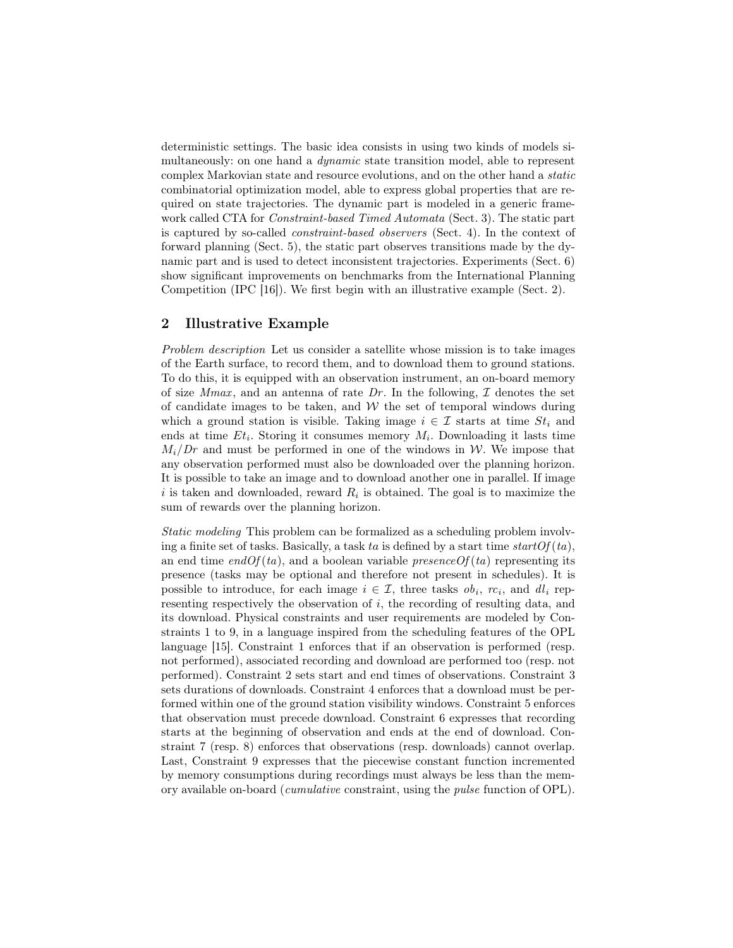deterministic settings. The basic idea consists in using two kinds of models simultaneously: on one hand a *dynamic* state transition model, able to represent complex Markovian state and resource evolutions, and on the other hand a static combinatorial optimization model, able to express global properties that are required on state trajectories. The dynamic part is modeled in a generic framework called CTA for Constraint-based Timed Automata (Sect. 3). The static part is captured by so-called constraint-based observers (Sect. 4). In the context of forward planning (Sect. 5), the static part observes transitions made by the dynamic part and is used to detect inconsistent trajectories. Experiments (Sect. 6) show significant improvements on benchmarks from the International Planning Competition (IPC [16]). We first begin with an illustrative example (Sect. 2).

## 2 Illustrative Example

Problem description Let us consider a satellite whose mission is to take images of the Earth surface, to record them, and to download them to ground stations. To do this, it is equipped with an observation instrument, an on-board memory of size Mmax, and an antenna of rate Dr. In the following,  $\mathcal I$  denotes the set of candidate images to be taken, and  $W$  the set of temporal windows during which a ground station is visible. Taking image  $i \in \mathcal{I}$  starts at time  $St_i$  and ends at time  $Et_i$ . Storing it consumes memory  $M_i$ . Downloading it lasts time  $M_i/Dr$  and must be performed in one of the windows in W. We impose that any observation performed must also be downloaded over the planning horizon. It is possible to take an image and to download another one in parallel. If image i is taken and downloaded, reward  $R_i$  is obtained. The goal is to maximize the sum of rewards over the planning horizon.

Static modeling This problem can be formalized as a scheduling problem involving a finite set of tasks. Basically, a task ta is defined by a start time start  $Of(ta)$ , an end time end  $Of(ta)$ , and a boolean variable presence  $Of(ta)$  representing its presence (tasks may be optional and therefore not present in schedules). It is possible to introduce, for each image  $i \in \mathcal{I}$ , three tasks  $\delta b_i$ ,  $rc_i$ , and  $dl_i$  representing respectively the observation of i, the recording of resulting data, and its download. Physical constraints and user requirements are modeled by Constraints 1 to 9, in a language inspired from the scheduling features of the OPL language [15]. Constraint 1 enforces that if an observation is performed (resp. not performed), associated recording and download are performed too (resp. not performed). Constraint 2 sets start and end times of observations. Constraint 3 sets durations of downloads. Constraint 4 enforces that a download must be performed within one of the ground station visibility windows. Constraint 5 enforces that observation must precede download. Constraint 6 expresses that recording starts at the beginning of observation and ends at the end of download. Constraint 7 (resp. 8) enforces that observations (resp. downloads) cannot overlap. Last, Constraint 9 expresses that the piecewise constant function incremented by memory consumptions during recordings must always be less than the memory available on-board (cumulative constraint, using the pulse function of OPL).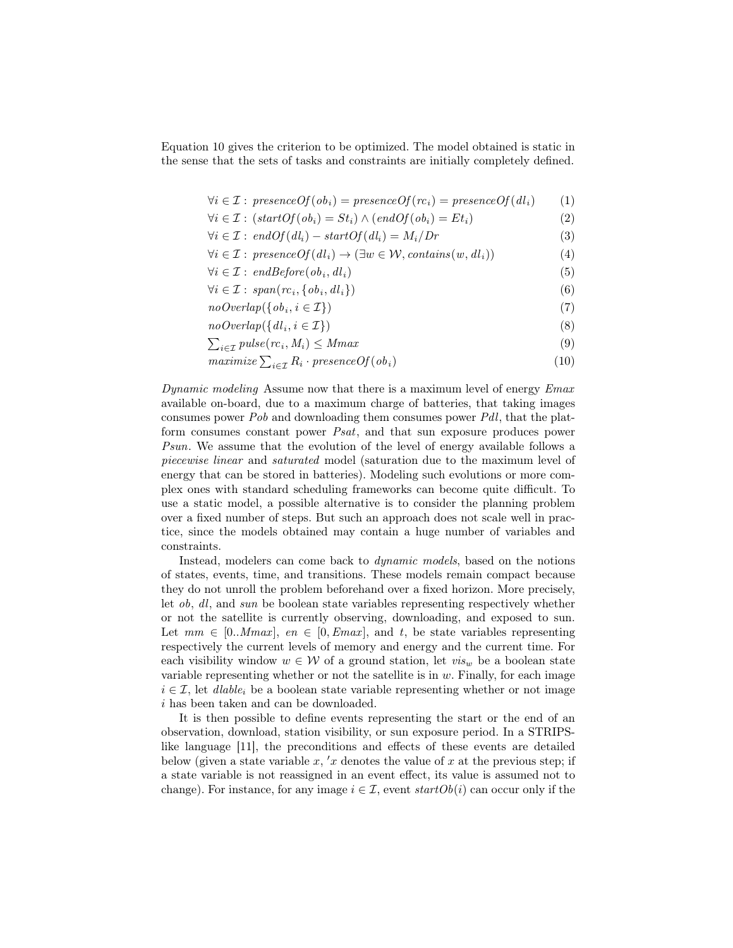Equation 10 gives the criterion to be optimized. The model obtained is static in the sense that the sets of tasks and constraints are initially completely defined.

$$
\forall i \in \mathcal{I}: \, presenceOf(obj_i) = presenceOf(re_i) = presenceOf(dl_i) \qquad (1)
$$

$$
\forall i \in \mathcal{I}: (startOf(obj_i) = St_i) \land (endOf(obj_i) = Et_i)
$$
\n
$$
(2)
$$

$$
\forall i \in \mathcal{I}: \text{ } end \text{ } of \text{ } (dl_i) - \text{ } start \text{ } \text{ } of \text{ } (dl_i) = M_i / \text{ } Dr \tag{3}
$$

$$
\forall i \in \mathcal{I}: \text{ presenceOf}(dl_i) \to (\exists w \in \mathcal{W}, \text{contains}(w, dl_i)) \tag{4}
$$

$$
\forall i \in \mathcal{I}: \text{ } endBefore(ob_i, dl_i) \tag{5}
$$

 $\forall i \in \mathcal{I}: span(rc_i, \{ob_i, dl_i\})$  (6)

 $noOverlap({\lbrace ob_i, i \in \mathcal{I} \rbrace})$  (7)

$$
no\,Overlap(\{dl_i, i \in \mathcal{I}\})\tag{8}
$$

 $\sum_{i \in \mathcal{I}} pulse(rc_i, M_i) \leq Mmax$  (9)

$$
maximize \sum_{i \in \mathcal{I}} R_i \cdot presenceOf(obj_i)
$$
\n
$$
(10)
$$

Dynamic modeling Assume now that there is a maximum level of energy Emax available on-board, due to a maximum charge of batteries, that taking images consumes power Pob and downloading them consumes power Pdl, that the platform consumes constant power Psat, and that sun exposure produces power Psun. We assume that the evolution of the level of energy available follows a piecewise linear and saturated model (saturation due to the maximum level of energy that can be stored in batteries). Modeling such evolutions or more complex ones with standard scheduling frameworks can become quite difficult. To use a static model, a possible alternative is to consider the planning problem over a fixed number of steps. But such an approach does not scale well in practice, since the models obtained may contain a huge number of variables and constraints.

Instead, modelers can come back to dynamic models, based on the notions of states, events, time, and transitions. These models remain compact because they do not unroll the problem beforehand over a fixed horizon. More precisely, let ob, dl, and sun be boolean state variables representing respectively whether or not the satellite is currently observing, downloading, and exposed to sun. Let  $mm \in [0..Mmax]$ ,  $en \in [0, Emax]$ , and t, be state variables representing respectively the current levels of memory and energy and the current time. For each visibility window  $w \in \mathcal{W}$  of a ground station, let  $vis_w$  be a boolean state variable representing whether or not the satellite is in  $w$ . Finally, for each image  $i \in \mathcal{I}$ , let *dlable<sub>i</sub>* be a boolean state variable representing whether or not image i has been taken and can be downloaded.

It is then possible to define events representing the start or the end of an observation, download, station visibility, or sun exposure period. In a STRIPSlike language [11], the preconditions and effects of these events are detailed below (given a state variable x, 'x denotes the value of x at the previous step; if a state variable is not reassigned in an event effect, its value is assumed not to change). For instance, for any image  $i \in \mathcal{I}$ , event  $startOb(i)$  can occur only if the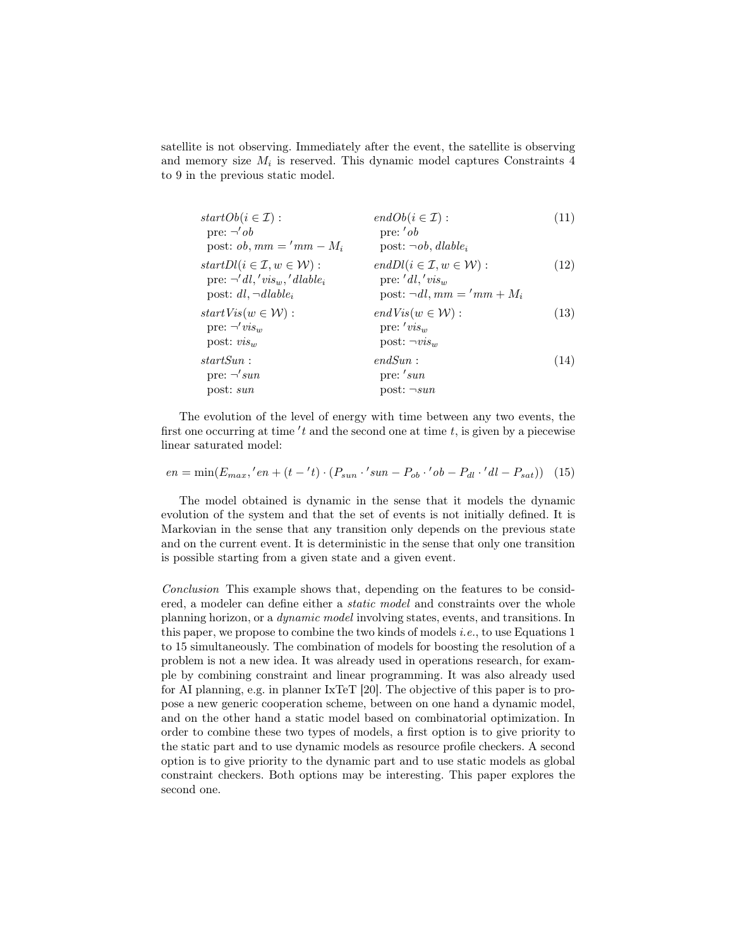satellite is not observing. Immediately after the event, the satellite is observing and memory size  $M_i$  is reserved. This dynamic model captures Constraints 4 to 9 in the previous static model.

| $startOb(i \in \mathcal{I}):$                                                                                         | $endOb(i \in \mathcal{I}):$                                                                                | (11) |
|-----------------------------------------------------------------------------------------------------------------------|------------------------------------------------------------------------------------------------------------|------|
| pre: $\neg' ob$                                                                                                       | pre: $'ob$                                                                                                 |      |
| post: <i>ob</i> , $mm = 'mm - M_i$                                                                                    | post: $\neg ob$ , dlable,                                                                                  |      |
| $startDl(i \in \mathcal{I}, w \in \mathcal{W})$ :<br>pre: $\neg' dl, 'vis_w, 'dlable_i$<br>post: $dl$ , $\neg dlable$ | $endDl(i \in \mathcal{I}, w \in \mathcal{W})$ :<br>pre: $'dl,'vis_w$<br>post: $\neg dl$ , $mm = 'mm + M_i$ | (12) |
| $startVis(w \in W)$ :<br>pre: $\neg' vis_w$<br>post: $visw$                                                           | $endVis(w \in W)$ :<br>pre: $'vis_w$<br>post: $\neg vis_{w}$                                               | (13) |
| startSun:<br>pre: $\neg' s u n$<br>post: sun                                                                          | endSun:<br>pre: 'sun<br>post: $\neg sun$                                                                   | (14) |

The evolution of the level of energy with time between any two events, the first one occurring at time 't and the second one at time  $t$ , is given by a piecewise linear saturated model:

$$
en = \min(E_{max}, 'en + (t - 't) \cdot (P_{sun} \cdot 'sun - P_{ob} \cdot 'ob - P_{dl} \cdot 'dl - P_{sat})) \tag{15}
$$

The model obtained is dynamic in the sense that it models the dynamic evolution of the system and that the set of events is not initially defined. It is Markovian in the sense that any transition only depends on the previous state and on the current event. It is deterministic in the sense that only one transition is possible starting from a given state and a given event.

Conclusion This example shows that, depending on the features to be considered, a modeler can define either a static model and constraints over the whole planning horizon, or a dynamic model involving states, events, and transitions. In this paper, we propose to combine the two kinds of models *i.e.*, to use Equations 1 to 15 simultaneously. The combination of models for boosting the resolution of a problem is not a new idea. It was already used in operations research, for example by combining constraint and linear programming. It was also already used for AI planning, e.g. in planner IxTeT [20]. The objective of this paper is to propose a new generic cooperation scheme, between on one hand a dynamic model, and on the other hand a static model based on combinatorial optimization. In order to combine these two types of models, a first option is to give priority to the static part and to use dynamic models as resource profile checkers. A second option is to give priority to the dynamic part and to use static models as global constraint checkers. Both options may be interesting. This paper explores the second one.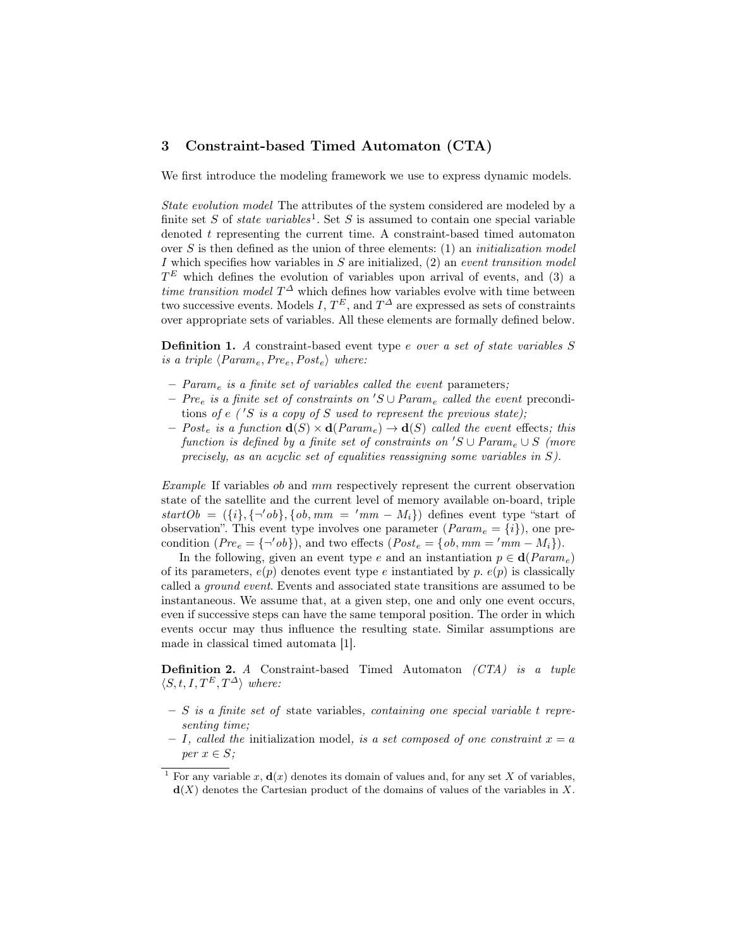## 3 Constraint-based Timed Automaton (CTA)

We first introduce the modeling framework we use to express dynamic models.

State evolution model The attributes of the system considered are modeled by a finite set S of *state variables*<sup>1</sup>. Set S is assumed to contain one special variable denoted t representing the current time. A constraint-based timed automaton over  $S$  is then defined as the union of three elements: (1) an *initialization model* I which specifies how variables in  $S$  are initialized,  $(2)$  an event transition model  $T<sup>E</sup>$  which defines the evolution of variables upon arrival of events, and (3) a time transition model  $T^{\Delta}$  which defines how variables evolve with time between two successive events. Models  $I, T^E$ , and  $T^{\Delta}$  are expressed as sets of constraints over appropriate sets of variables. All these elements are formally defined below.

**Definition 1.** A constraint-based event type e over a set of state variables S is a triple  $\langle Param_e,Pre_e,Post_e \rangle$  where:

- $-$  Param<sub>e</sub> is a finite set of variables called the event parameters;
- Pre<sub>e</sub> is a finite set of constraints on  $'S \cup Param_{e}$  called the event preconditions of e ('S is a copy of S used to represent the previous state);
- Post<sub>e</sub> is a function  $\mathbf{d}(S) \times \mathbf{d}(Param_e) \rightarrow \mathbf{d}(S)$  called the event effects; this function is defined by a finite set of constraints on  $'S \cup Param_e \cup S$  (more precisely, as an acyclic set of equalities reassigning some variables in S).

Example If variables ob and mm respectively represent the current observation state of the satellite and the current level of memory available on-board, triple  $startOb = (\{i\}, \{\neg'ob\}, \{ob, mm = 'mm - M_i\})$  defines event type "start of observation". This event type involves one parameter  $(Param_e = \{i\})$ , one precondition  $(Pre_e = {\neg'ob}]$ , and two effects  $(Post_e = \{ob, mm = 'mm - M_i\}).$ 

In the following, given an event type e and an instantiation  $p \in \mathbf{d}(Param_e)$ of its parameters,  $e(p)$  denotes event type e instantiated by p.  $e(p)$  is classically called a ground event. Events and associated state transitions are assumed to be instantaneous. We assume that, at a given step, one and only one event occurs, even if successive steps can have the same temporal position. The order in which events occur may thus influence the resulting state. Similar assumptions are made in classical timed automata [1].

Definition 2. A Constraint-based Timed Automaton (CTA) is a tuple  $\langle S, t, I, T^E, T^{\Delta} \rangle$  where:

- $S$  is a finite set of state variables, containing one special variable t representing time;
- $I$ , called the initialization model, is a set composed of one constraint  $x = a$ per  $x \in S$ ;

<sup>&</sup>lt;sup>1</sup> For any variable x,  $\mathbf{d}(x)$  denotes its domain of values and, for any set X of variables,  $\mathbf{d}(X)$  denotes the Cartesian product of the domains of values of the variables in X.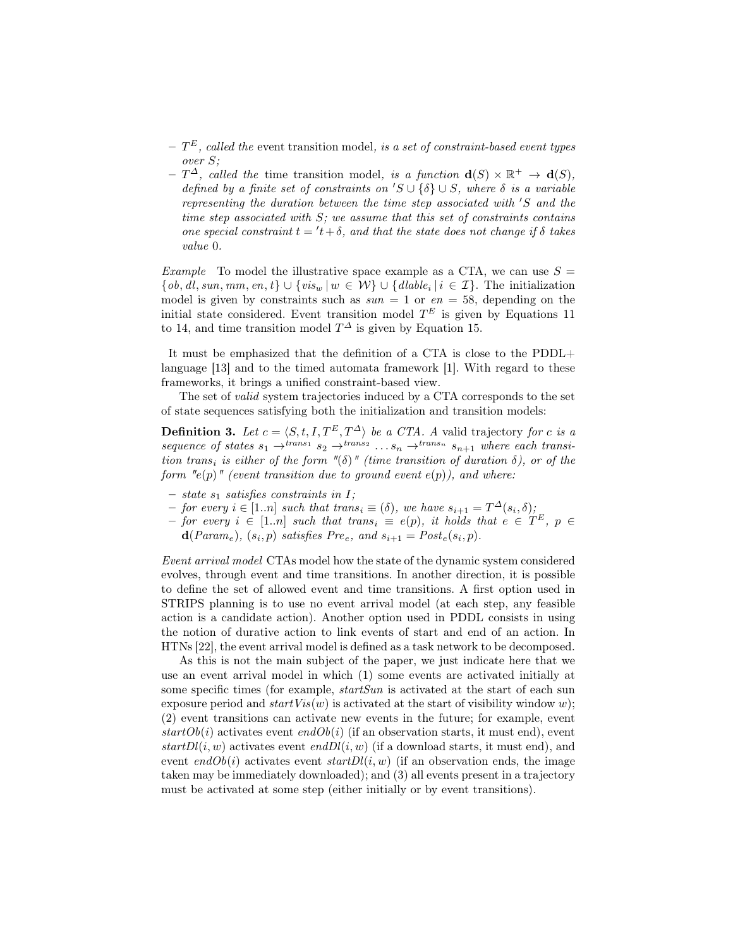- $T^{E}$ , called the event transition model, is a set of constraint-based event types over S;
- $-T^{\Delta}$ , called the time transition model, is a function  $\mathbf{d}(S) \times \mathbb{R}^+ \to \mathbf{d}(S)$ , defined by a finite set of constraints on  $'S \cup \{\delta\} \cup S$ , where  $\delta$  is a variable representing the duration between the time step associated with  $'S$  and the time step associated with  $S$ ; we assume that this set of constraints contains one special constraint  $t = 't + \delta$ , and that the state does not change if  $\delta$  takes value 0.

Example To model the illustrative space example as a CTA, we can use  $S =$  $\{ob, dl, sun, mm, en, t\} \cup \{vis_w | w \in W\} \cup \{dlabel_i | i \in \mathcal{I}\}.$  The initialization model is given by constraints such as  $sun = 1$  or  $en = 58$ , depending on the initial state considered. Event transition model  $T<sup>E</sup>$  is given by Equations 11 to 14, and time transition model  $T^{\Delta}$  is given by Equation 15.

It must be emphasized that the definition of a CTA is close to the PDDL+ language [13] and to the timed automata framework [1]. With regard to these frameworks, it brings a unified constraint-based view.

The set of valid system trajectories induced by a CTA corresponds to the set of state sequences satisfying both the initialization and transition models:

**Definition 3.** Let  $c = \langle S, t, I, T^E, T^{\Delta} \rangle$  be a CTA. A valid trajectory for c is a sequence of states  $s_1 \rightarrow^{trans_1} s_2 \rightarrow^{trans_2} \ldots s_n \rightarrow^{trans_n} s_{n+1}$  where each transition trans<sub>i</sub> is either of the form "(δ)" (time transition of duration  $\delta$ ), or of the form  $"e(p)"$  (event transition due to ground event  $e(p)$ ), and where:

- state  $s_1$  satisfies constraints in  $I$ ;
- $-$  for every  $i \in [1..n]$  such that trans<sub>i</sub> ≡ ( $\delta$ ), we have  $s_{i+1} = T^{\Delta}(s_i, \delta)$ ;
- $-$  for every  $i \in [1..n]$  such that trans<sub>i</sub>  $\equiv e(p)$ , it holds that  $e \in T^E$ ,  $p \in$ 
	- $\mathbf{d}(Param_e), (s_i, p)$  satisfies  $Pre_e$ , and  $s_{i+1} = Post_e(s_i, p)$ .

Event arrival model CTAs model how the state of the dynamic system considered evolves, through event and time transitions. In another direction, it is possible to define the set of allowed event and time transitions. A first option used in STRIPS planning is to use no event arrival model (at each step, any feasible action is a candidate action). Another option used in PDDL consists in using the notion of durative action to link events of start and end of an action. In HTNs [22], the event arrival model is defined as a task network to be decomposed.

As this is not the main subject of the paper, we just indicate here that we use an event arrival model in which (1) some events are activated initially at some specific times (for example,  $startSun$  is activated at the start of each sun exposure period and  $startVis(w)$  is activated at the start of visibility window w); (2) event transitions can activate new events in the future; for example, event  $startOb(i)$  activates event  $endOb(i)$  (if an observation starts, it must end), event  $startDl(i, w)$  activates event end $Dl(i, w)$  (if a download starts, it must end), and event endOb(i) activates event  $startD(i, w)$  (if an observation ends, the image taken may be immediately downloaded); and (3) all events present in a trajectory must be activated at some step (either initially or by event transitions).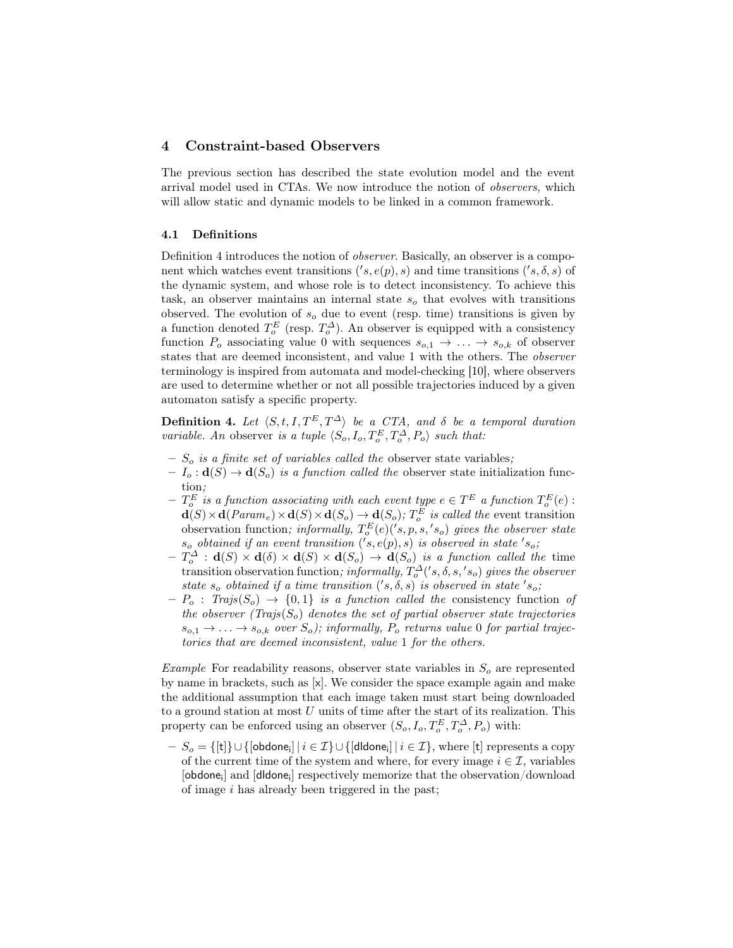## 4 Constraint-based Observers

The previous section has described the state evolution model and the event arrival model used in CTAs. We now introduce the notion of observers, which will allow static and dynamic models to be linked in a common framework.

#### 4.1 Definitions

Definition 4 introduces the notion of observer. Basically, an observer is a component which watches event transitions  $('s, e(p), s)$  and time transitions  $('s, \delta, s)$  of the dynamic system, and whose role is to detect inconsistency. To achieve this task, an observer maintains an internal state  $s<sub>o</sub>$  that evolves with transitions observed. The evolution of  $s_o$  due to event (resp. time) transitions is given by a function denoted  $T_o^E$  (resp.  $T_o^{\Delta}$ ). An observer is equipped with a consistency function  $P_o$  associating value 0 with sequences  $s_{o,1} \rightarrow \ldots \rightarrow s_{o,k}$  of observer states that are deemed inconsistent, and value 1 with the others. The observer terminology is inspired from automata and model-checking [10], where observers are used to determine whether or not all possible trajectories induced by a given automaton satisfy a specific property.

**Definition 4.** Let  $\langle S, t, I, T^E, T^{\Delta} \rangle$  be a CTA, and  $\delta$  be a temporal duration variable. An observer is a tuple  $\langle S_o, I_o, T_o^E, T_o^{\Delta}, P_o \rangle$  such that:

- $S<sub>o</sub>$  is a finite set of variables called the observer state variables;
- $I_o: \mathbf{d}(S) \to \mathbf{d}(S_o)$  is a function called the observer state initialization function;
- $T_o^E$  is a function associating with each event type  $e \in T^E$  a function  $T_o^E(e)$  :  $\mathbf{d}(S) \times \mathbf{d}(Param_e) \times \mathbf{d}(S) \times \mathbf{d}(S_o) \to \mathbf{d}(S_o); T_o^E$  is called the event transition observation function; informally,  $T_o^E(e)(s, p, s, 's_o)$  gives the observer state  $s_o$  obtained if an event transition  $('s, e(p), s)$  is observed in state  $'s_o$ ;
- $T_o^{\Delta} : \mathbf{d}(S) \times \mathbf{d}(\delta) \times \mathbf{d}(S) \times \mathbf{d}(S_o) \rightarrow \mathbf{d}(S_o)$  is a function called the time transition observation function; informally,  $T_o^{\Delta}(s, \delta, s, 's_o)$  gives the observer state  $s_o$  obtained if a time transition  $('s, \delta, s)$  is observed in state  $'s_o$ ;
- $-P_o$ : Trajs $(S_o) \rightarrow \{0,1\}$  is a function called the consistency function of the observer (Trajs( $S_o$ ) denotes the set of partial observer state trajectories  $s_{o,1} \rightarrow \ldots \rightarrow s_{o,k}$  over  $S_o$ ); informally,  $P_o$  returns value 0 for partial trajectories that are deemed inconsistent, value 1 for the others.

Example For readability reasons, observer state variables in  $S<sub>o</sub>$  are represented by name in brackets, such as [x]. We consider the space example again and make the additional assumption that each image taken must start being downloaded to a ground station at most  $U$  units of time after the start of its realization. This property can be enforced using an observer  $(S_o, I_o, T_o^E, T_o^{\Delta}, P_o)$  with:

 $S_o = \{[\texttt{t}]\} \cup \{[\textsf{obdone}_\textsf{i}] \,|\, i\in \mathcal{I}\} \cup \{[\textsf{ddone}_\textsf{i}] \,|\, i\in \mathcal{I}\},$  where  $[\texttt{t}]$  represents a copy of the current time of the system and where, for every image  $i \in \mathcal{I}$ , variables [obdone<sub>i</sub>] and [dldone<sub>i</sub>] respectively memorize that the observation/download of image  $i$  has already been triggered in the past;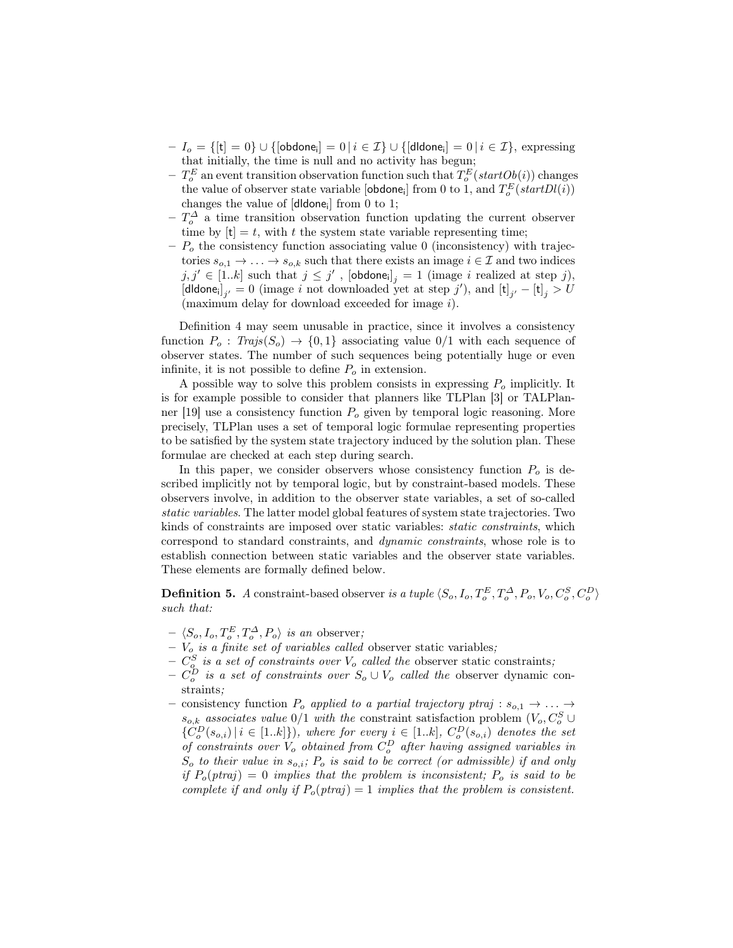- $-I_o=\{[\mathsf{t}]=0\}\cup\{[\mathsf{obdone}_\mathsf{i}]=0\,|\,i\in\mathcal{I}\}\cup\{[\mathsf{dldone}_\mathsf{i}]=0\,|\,i\in\mathcal{I}\},\,\text{expressing}$ that initially, the time is null and no activity has begun;
- $T_o^E$  an event transition observation function such that  $T_o^E(statOb(i))$  changes the value of observer state variable [obdone<sub>i</sub>] from 0 to 1, and  $T_o^E(startDl(i))$ changes the value of [dldone<sub>i</sub>] from 0 to 1;
- $-\,T_o^{\Delta}$  a time transition observation function updating the current observer time by  $[t] = t$ , with t the system state variable representing time;
- $-P<sub>o</sub>$  the consistency function associating value 0 (inconsistency) with trajectories  $s_{o,1} \to \ldots \to s_{o,k}$  such that there exists an image  $i \in \mathcal{I}$  and two indices  $j, j' \in [1..k]$  such that  $j \leq j'$ ,  $[\text{obdone}_i]_j = 1$  (image i realized at step j), [dldone<sub>i</sub>]<sub>j'</sub> = 0 (image i not downloaded yet at step j'), and  $[t]_{j'} - [t]_j > U$ (maximum delay for download exceeded for image i).

Definition 4 may seem unusable in practice, since it involves a consistency function  $P_o$ : Trajs $(S_o) \rightarrow \{0,1\}$  associating value  $0/1$  with each sequence of observer states. The number of such sequences being potentially huge or even infinite, it is not possible to define  $P<sub>o</sub>$  in extension.

A possible way to solve this problem consists in expressing  $P<sub>o</sub>$  implicitly. It is for example possible to consider that planners like TLPlan [3] or TALPlanner [19] use a consistency function  $P<sub>o</sub>$  given by temporal logic reasoning. More precisely, TLPlan uses a set of temporal logic formulae representing properties to be satisfied by the system state trajectory induced by the solution plan. These formulae are checked at each step during search.

In this paper, we consider observers whose consistency function  $P<sub>o</sub>$  is described implicitly not by temporal logic, but by constraint-based models. These observers involve, in addition to the observer state variables, a set of so-called static variables. The latter model global features of system state trajectories. Two kinds of constraints are imposed over static variables: static constraints, which correspond to standard constraints, and dynamic constraints, whose role is to establish connection between static variables and the observer state variables. These elements are formally defined below.

**Definition 5.** A constraint-based observer is a tuple  $\langle S_o, I_o, T_o^E, T_o^{\Delta}, P_o, V_o, C_o^S, C_o^D \rangle$ such that:

- $\langle S_o, I_o, T_o^E, T_o^{\Delta}, P_o \rangle$  is an observer;
- $V_o$  is a finite set of variables called observer static variables;
- $C_{o}^{S}$  is a set of constraints over  $V_{o}$  called the observer static constraints;
- $C_o^D$  is a set of constraints over  $S_o \cup V_o$  called the observer dynamic constraints;
- consistency function  $P_o$  applied to a partial trajectory ptraj :  $s_{o,1} \rightarrow \ldots \rightarrow$  $s_{o,k}$  associates value 0/1 with the constraint satisfaction problem  $(V_o, C_o^S \cup$  ${C_o^D(s_{o,i}) | i \in [1..k]}, where for every i \in [1..k], C_o^D(s_{o,i}) denotes the set$ of constraints over  $V_o$  obtained from  $C_o^D$  after having assigned variables in  $S_o$  to their value in  $s_{o,i}$ ;  $P_o$  is said to be correct (or admissible) if and only if  $P_o(ptraj) = 0$  implies that the problem is inconsistent;  $P_o$  is said to be complete if and only if  $P_o(ptraj) = 1$  implies that the problem is consistent.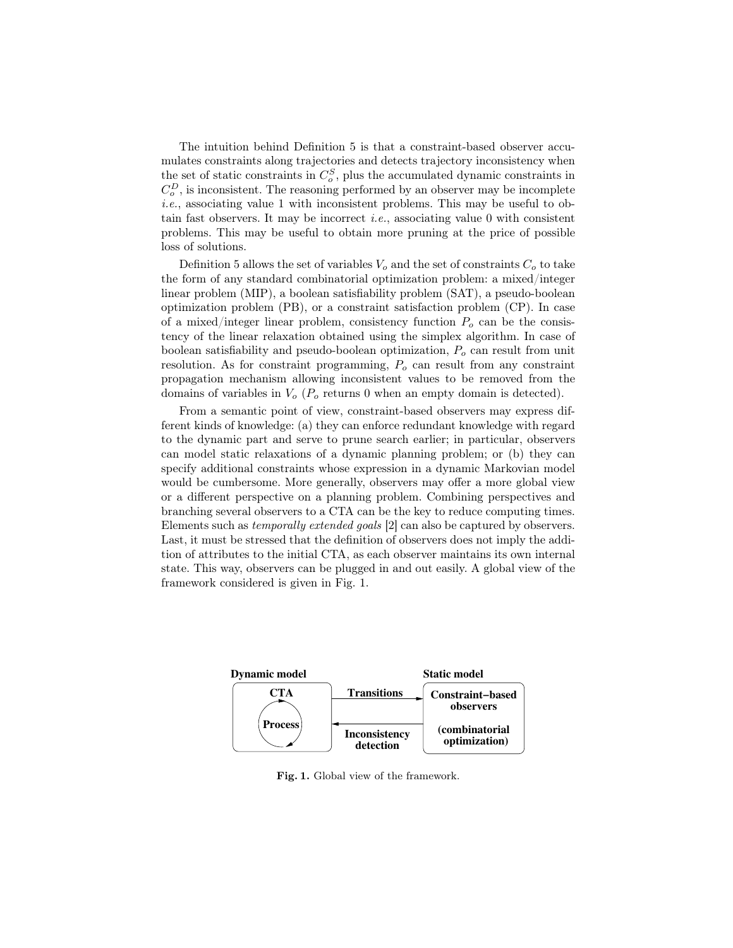The intuition behind Definition 5 is that a constraint-based observer accumulates constraints along trajectories and detects trajectory inconsistency when the set of static constraints in  $C_o^S$ , plus the accumulated dynamic constraints in  $C_o^D$ , is inconsistent. The reasoning performed by an observer may be incomplete i.e., associating value 1 with inconsistent problems. This may be useful to obtain fast observers. It may be incorrect *i.e.*, associating value  $0$  with consistent problems. This may be useful to obtain more pruning at the price of possible loss of solutions.

Definition 5 allows the set of variables  $V_o$  and the set of constraints  $C_o$  to take the form of any standard combinatorial optimization problem: a mixed/integer linear problem (MIP), a boolean satisfiability problem (SAT), a pseudo-boolean optimization problem (PB), or a constraint satisfaction problem (CP). In case of a mixed/integer linear problem, consistency function  $P<sub>o</sub>$  can be the consistency of the linear relaxation obtained using the simplex algorithm. In case of boolean satisfiability and pseudo-boolean optimization,  $P<sub>o</sub>$  can result from unit resolution. As for constraint programming,  $P<sub>o</sub>$  can result from any constraint propagation mechanism allowing inconsistent values to be removed from the domains of variables in  $V_o$  ( $P_o$  returns 0 when an empty domain is detected).

From a semantic point of view, constraint-based observers may express different kinds of knowledge: (a) they can enforce redundant knowledge with regard to the dynamic part and serve to prune search earlier; in particular, observers can model static relaxations of a dynamic planning problem; or (b) they can specify additional constraints whose expression in a dynamic Markovian model would be cumbersome. More generally, observers may offer a more global view or a different perspective on a planning problem. Combining perspectives and branching several observers to a CTA can be the key to reduce computing times. Elements such as temporally extended goals [2] can also be captured by observers. Last, it must be stressed that the definition of observers does not imply the addition of attributes to the initial CTA, as each observer maintains its own internal state. This way, observers can be plugged in and out easily. A global view of the framework considered is given in Fig. 1.



Fig. 1. Global view of the framework.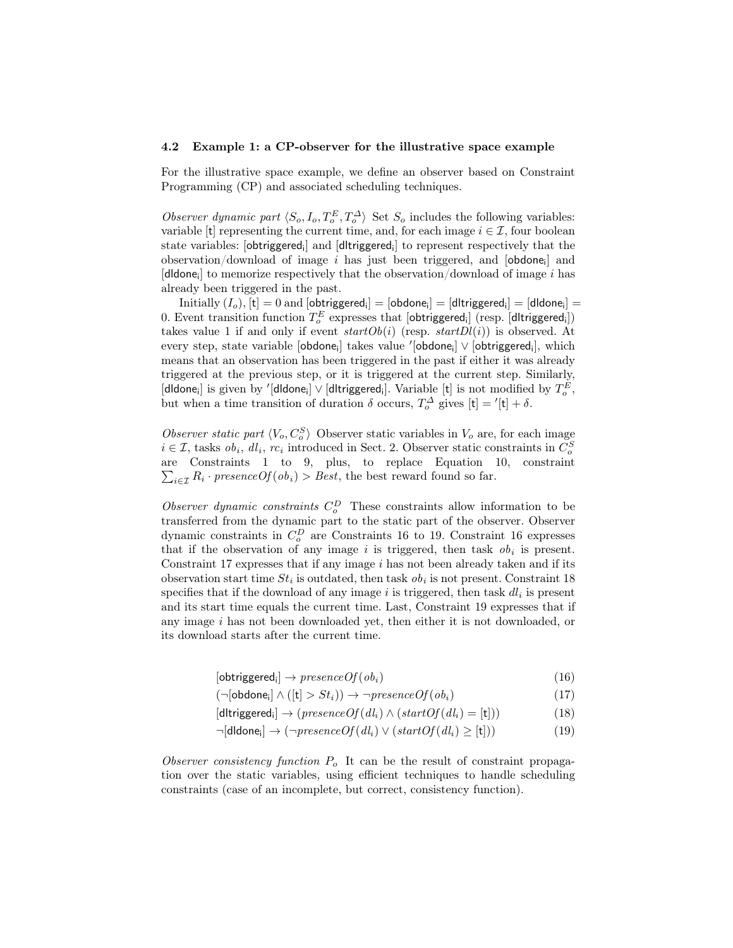#### 4.2 Example 1: a CP-observer for the illustrative space example

For the illustrative space example, we define an observer based on Constraint Programming (CP) and associated scheduling techniques.

Observer dynamic part  $\langle S_o, I_o, T_o^E, T_o^{\Delta} \rangle$  Set  $S_o$  includes the following variables: variable [t] representing the current time, and, for each image  $i \in \mathcal{I}$ , four boolean state variables: [**obtriggered**<sub>i</sub>] and [**d|triggered**<sub>i</sub>] to represent respectively that the observation/download of image  $i$  has just been triggered, and  $[obdone_i]$  and [dldone<sub>i</sub>] to memorize respectively that the observation/download of image  $i$  has already been triggered in the past.

 $\text{Initially } (I_o), [\mathsf{t}] = 0 \text{ and } [\textsf{obtriggered}_{\mathsf{i}}] = [\textsf{obdone}_{\mathsf{i}}] = [\textsf{dltriggered}_{\mathsf{i}}] = [\textsf{dldone}_{\mathsf{i}}] =$ 0. Event transition function  $T^E_o$  expresses that  $[\text{obtriggered_i}]$   $(\text{resp.}\ [\text{dllriggered_i}])$ takes value 1 if and only if event  $startOb(i)$  (resp.  $startDl(i)$ ) is observed. At every step, state variable [obdone<sub>i</sub>] takes value '[obdone<sub>i</sub>]∨ [obtriggered<sub>i</sub>], which means that an observation has been triggered in the past if either it was already triggered at the previous step, or it is triggered at the current step. Similarly, [dldone<sub>i</sub>] is given by '[dldone<sub>i</sub>] ∨ [dltriggered<sub>i</sub>]. Variable [t] is not modified by  $T_o^E,$ but when a time transition of duration  $\delta$  occurs,  $T_o^{\Delta}$  gives  $[t] = '[t] + \delta$ .

Observer static part  $\langle V_o, C_o^S \rangle$  Observer static variables in  $V_o$  are, for each image  $i \in \mathcal{I}$ , tasks  $ob_i$ ,  $dl_i$ ,  $rc_i$  introduced in Sect. 2. Observer static constraints in  $C_o^S$ are Constraints 1 to 9, plus, to replace Equation 10, constraint  $\sum_{i\in\mathcal{I}} R_i \cdot \text{presenceOf}(ob_i) > \text{Best}$ , the best reward found so far.

Observer dynamic constraints  $C_o^D$  These constraints allow information to be transferred from the dynamic part to the static part of the observer. Observer dynamic constraints in  $C_o^D$  are Constraints 16 to 19. Constraint 16 expresses that if the observation of any image i is triggered, then task  $\delta b_i$  is present. Constraint  $17$  expresses that if any image  $i$  has not been already taken and if its observation start time  $St_i$  is outdated, then task  $ob_i$  is not present. Constraint 18 specifies that if the download of any image  $i$  is triggered, then task  $dl_i$  is present and its start time equals the current time. Last, Constraint 19 expresses that if any image i has not been downloaded yet, then either it is not downloaded, or its download starts after the current time.

$$
[obtriggered_i] \rightarrow presenceOf(obj_i)
$$
\n
$$
(16)
$$

 $(\neg[\text{obdone}_i] \land ([t] > St_i)) \rightarrow \neg \text{presenceOf}(ob_i)$  (17)

$$
[dtriangle] \rightarrow (presenceOf(d_i) \land (startOf(d_i) = [t])) \tag{18}
$$

 $\neg[\text{dldone}_i] \rightarrow (\neg \text{presenceOf}(dl_i) \lor (\text{startOf}(dl_i) \geq [t]))$ (19)

Observer consistency function  $P<sub>o</sub>$  It can be the result of constraint propagation over the static variables, using efficient techniques to handle scheduling constraints (case of an incomplete, but correct, consistency function).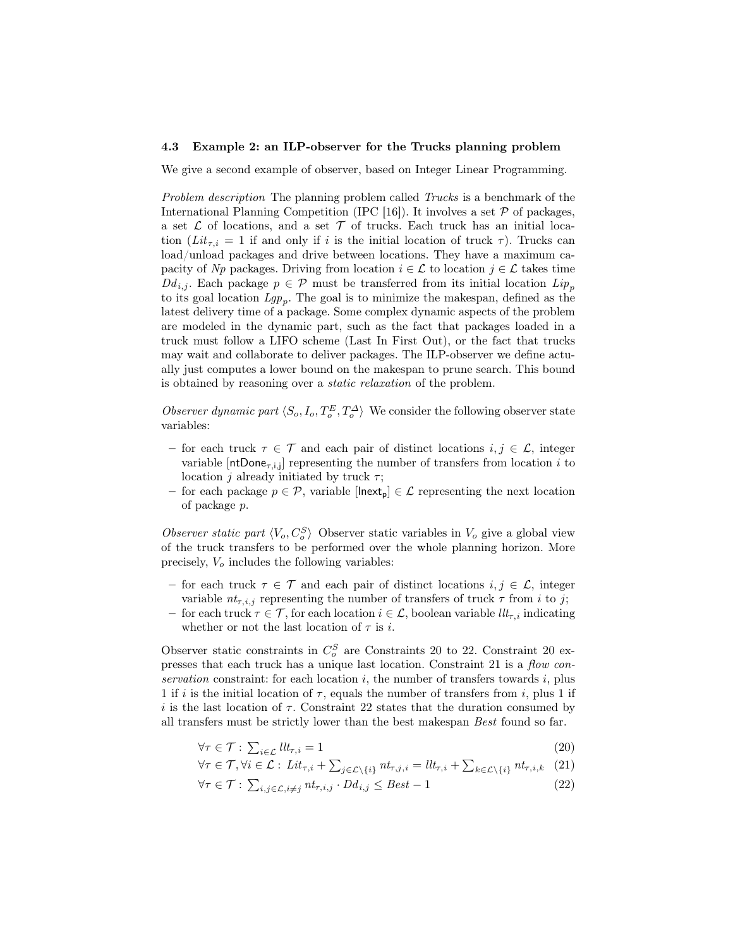#### 4.3 Example 2: an ILP-observer for the Trucks planning problem

We give a second example of observer, based on Integer Linear Programming.

Problem description The planning problem called Trucks is a benchmark of the International Planning Competition (IPC [16]). It involves a set  $P$  of packages, a set  $\mathcal L$  of locations, and a set  $\mathcal T$  of trucks. Each truck has an initial location ( $Lit_{\tau,i} = 1$  if and only if i is the initial location of truck  $\tau$ ). Trucks can load/unload packages and drive between locations. They have a maximum capacity of Np packages. Driving from location  $i \in \mathcal{L}$  to location  $j \in \mathcal{L}$  takes time  $Dd_{i,j}$ . Each package  $p \in \mathcal{P}$  must be transferred from its initial location  $Lip_p$ to its goal location  $Lgp_p$ . The goal is to minimize the makespan, defined as the latest delivery time of a package. Some complex dynamic aspects of the problem are modeled in the dynamic part, such as the fact that packages loaded in a truck must follow a LIFO scheme (Last In First Out), or the fact that trucks may wait and collaborate to deliver packages. The ILP-observer we define actually just computes a lower bound on the makespan to prune search. This bound is obtained by reasoning over a static relaxation of the problem.

Observer dynamic part  $\langle S_o, I_o, T_o^E, T_o^{\Delta} \rangle$  We consider the following observer state variables:

- for each truck  $\tau \in \mathcal{T}$  and each pair of distinct locations  $i, j \in \mathcal{L}$ , integer variable  $[ntDone_{\tau,i,j}]$  representing the number of transfers from location i to location *j* already initiated by truck  $\tau$ ;
- for each package  $p \in \mathcal{P}$ , variable  $[{\sf Inext}_{p}] \in \mathcal{L}$  representing the next location of package p.

Observer static part  $\langle V_o, C_o^S \rangle$  Observer static variables in  $V_o$  give a global view of the truck transfers to be performed over the whole planning horizon. More precisely,  $V<sub>o</sub>$  includes the following variables:

- for each truck  $\tau \in \mathcal{T}$  and each pair of distinct locations  $i, j \in \mathcal{L}$ , integer variable  $nt_{\tau,i,j}$  representing the number of transfers of truck  $\tau$  from i to j;
- $−$  for each truck  $τ ∈ T$ , for each location  $i ∈ L$ , boolean variable  $llt_{τ,i}$  indicating whether or not the last location of  $\tau$  is *i*.

Observer static constraints in  $C_o^S$  are Constraints 20 to 22. Constraint 20 expresses that each truck has a unique last location. Constraint 21 is a flow conservation constraint: for each location  $i$ , the number of transfers towards  $i$ , plus 1 if i is the initial location of  $\tau$ , equals the number of transfers from i, plus 1 if i is the last location of  $\tau$ . Constraint 22 states that the duration consumed by all transfers must be strictly lower than the best makespan Best found so far.

$$
\forall \tau \in \mathcal{T} : \sum_{i \in \mathcal{L}} l l t_{\tau,i} = 1 \tag{20}
$$

$$
\forall \tau \in \mathcal{T}, \forall i \in \mathcal{L} : Lit_{\tau,i} + \sum_{j \in \mathcal{L} \setminus \{i\}} nt_{\tau,j,i} = ll_{\tau,i} + \sum_{k \in \mathcal{L} \setminus \{i\}} nt_{\tau,i,k} \tag{21}
$$

$$
\forall \tau \in \mathcal{T}: \ \sum_{i,j \in \mathcal{L}, i \neq j} n t_{\tau,i,j} \cdot D d_{i,j} \leq Best - 1 \tag{22}
$$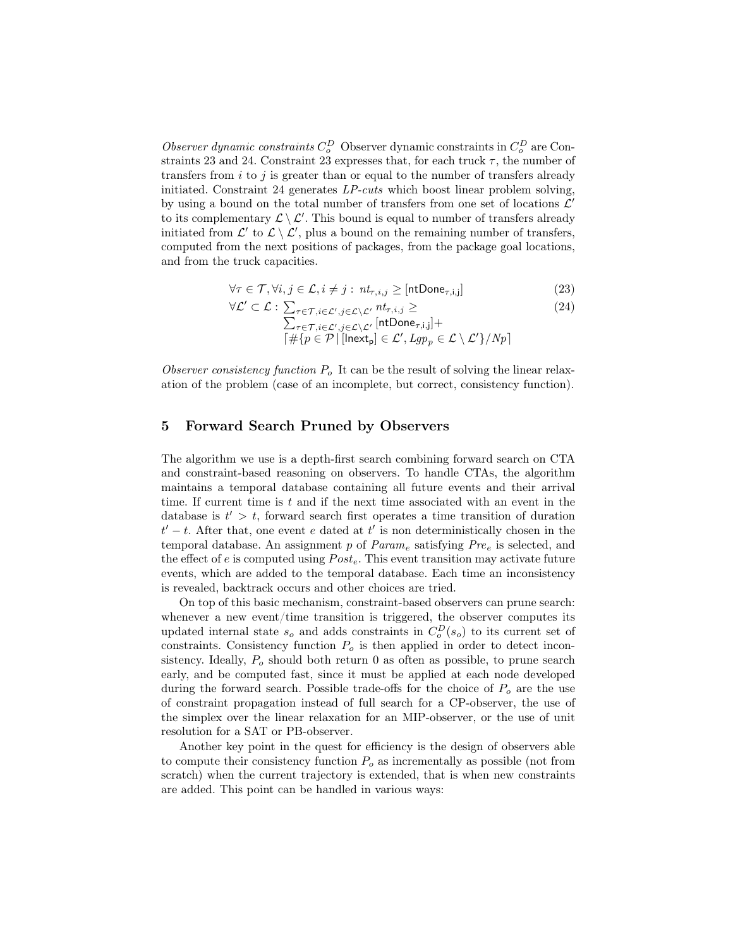Observer dynamic constraints  $C_o^D$  Observer dynamic constraints in  $C_o^D$  are Constraints 23 and 24. Constraint 23 expresses that, for each truck  $\tau$ , the number of transfers from  $i$  to  $j$  is greater than or equal to the number of transfers already initiated. Constraint 24 generates LP-cuts which boost linear problem solving, by using a bound on the total number of transfers from one set of locations  $\mathcal{L}'$ to its complementary  $\mathcal{L} \setminus \mathcal{L}'$ . This bound is equal to number of transfers already initiated from  $\mathcal{L}'$  to  $\mathcal{L} \setminus \mathcal{L}'$ , plus a bound on the remaining number of transfers, computed from the next positions of packages, from the package goal locations, and from the truck capacities.

$$
\forall \tau \in \mathcal{T}, \forall i, j \in \mathcal{L}, i \neq j : nt_{\tau, i, j} \geq [\text{ntDone}_{\tau, i, j}] \tag{23}
$$

$$
\forall \mathcal{L}' \subset \mathcal{L} : \sum_{\tau \in \mathcal{T}, i \in \mathcal{L}', j \in \mathcal{L} \setminus \mathcal{L}'} \frac{n t_{\tau, i, j}}{\sqrt{\sum_{\tau \in \mathcal{T}, i \in \mathcal{L}', j \in \mathcal{L} \setminus \mathcal{L}'} \left[n t \text{Done}_{\tau, i, j}\right] + \left[\#\{p \in \mathcal{P} \mid [\text{Inext}_p] \in \mathcal{L}', \text{Lgp}_p \in \mathcal{L} \setminus \mathcal{L}'\}/Np\right]}}
$$
\n(24)

Observer consistency function  $P<sub>o</sub>$  It can be the result of solving the linear relaxation of the problem (case of an incomplete, but correct, consistency function).

## 5 Forward Search Pruned by Observers

The algorithm we use is a depth-first search combining forward search on CTA and constraint-based reasoning on observers. To handle CTAs, the algorithm maintains a temporal database containing all future events and their arrival time. If current time is  $t$  and if the next time associated with an event in the database is  $t' > t$ , forward search first operates a time transition of duration  $t'-t$ . After that, one event e dated at t' is non deterministically chosen in the temporal database. An assignment p of  $Param_e$  satisfying  $Pre_e$  is selected, and the effect of e is computed using  $Post_e$ . This event transition may activate future events, which are added to the temporal database. Each time an inconsistency is revealed, backtrack occurs and other choices are tried.

On top of this basic mechanism, constraint-based observers can prune search: whenever a new event/time transition is triggered, the observer computes its updated internal state  $s_o$  and adds constraints in  $C_o^D(s_o)$  to its current set of constraints. Consistency function  $P<sub>o</sub>$  is then applied in order to detect inconsistency. Ideally,  $P<sub>o</sub>$  should both return 0 as often as possible, to prune search early, and be computed fast, since it must be applied at each node developed during the forward search. Possible trade-offs for the choice of  $P<sub>o</sub>$  are the use of constraint propagation instead of full search for a CP-observer, the use of the simplex over the linear relaxation for an MIP-observer, or the use of unit resolution for a SAT or PB-observer.

Another key point in the quest for efficiency is the design of observers able to compute their consistency function  $P<sub>o</sub>$  as incrementally as possible (not from scratch) when the current trajectory is extended, that is when new constraints are added. This point can be handled in various ways: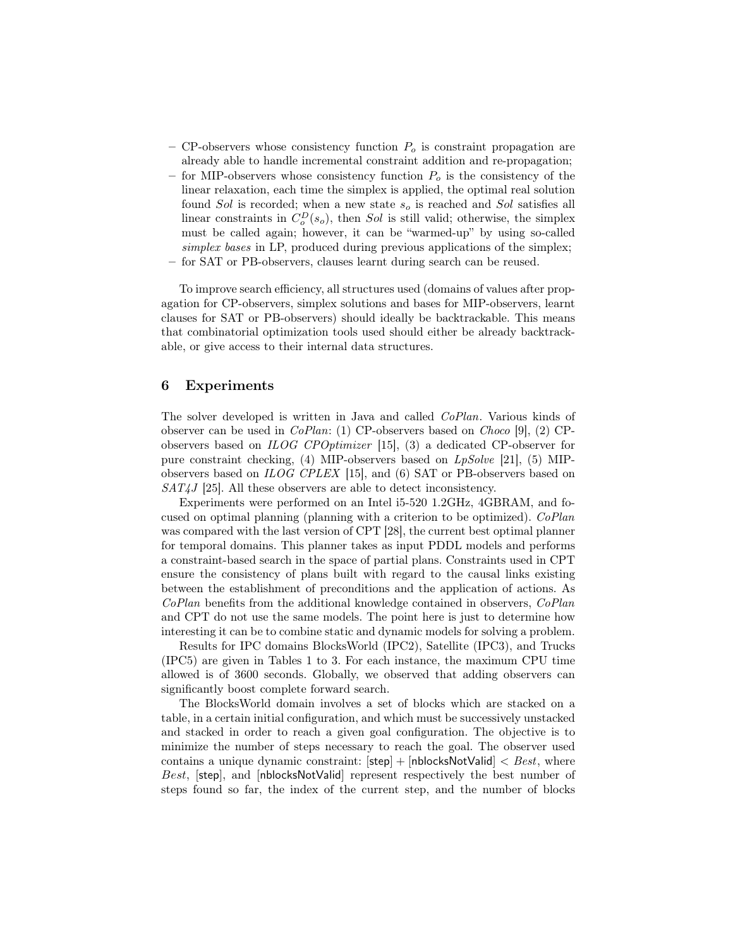- CP-observers whose consistency function  $P<sub>o</sub>$  is constraint propagation are already able to handle incremental constraint addition and re-propagation;
- for MIP-observers whose consistency function  $P<sub>o</sub>$  is the consistency of the linear relaxation, each time the simplex is applied, the optimal real solution found Sol is recorded; when a new state  $s<sub>o</sub>$  is reached and Sol satisfies all linear constraints in  $C_o^D(s_o)$ , then Sol is still valid; otherwise, the simplex must be called again; however, it can be "warmed-up" by using so-called simplex bases in LP, produced during previous applications of the simplex; – for SAT or PB-observers, clauses learnt during search can be reused.

To improve search efficiency, all structures used (domains of values after propagation for CP-observers, simplex solutions and bases for MIP-observers, learnt clauses for SAT or PB-observers) should ideally be backtrackable. This means that combinatorial optimization tools used should either be already backtrackable, or give access to their internal data structures.

## 6 Experiments

The solver developed is written in Java and called CoPlan. Various kinds of observer can be used in CoPlan: (1) CP-observers based on Choco [9], (2) CPobservers based on ILOG CPOptimizer [15], (3) a dedicated CP-observer for pure constraint checking, (4) MIP-observers based on LpSolve [21], (5) MIPobservers based on ILOG CPLEX [15], and (6) SAT or PB-observers based on  $SAT4J$  [25]. All these observers are able to detect inconsistency.

Experiments were performed on an Intel i5-520 1.2GHz, 4GBRAM, and focused on optimal planning (planning with a criterion to be optimized). CoPlan was compared with the last version of CPT [28], the current best optimal planner for temporal domains. This planner takes as input PDDL models and performs a constraint-based search in the space of partial plans. Constraints used in CPT ensure the consistency of plans built with regard to the causal links existing between the establishment of preconditions and the application of actions. As CoPlan benefits from the additional knowledge contained in observers, CoPlan and CPT do not use the same models. The point here is just to determine how interesting it can be to combine static and dynamic models for solving a problem.

Results for IPC domains BlocksWorld (IPC2), Satellite (IPC3), and Trucks (IPC5) are given in Tables 1 to 3. For each instance, the maximum CPU time allowed is of 3600 seconds. Globally, we observed that adding observers can significantly boost complete forward search.

The BlocksWorld domain involves a set of blocks which are stacked on a table, in a certain initial configuration, and which must be successively unstacked and stacked in order to reach a given goal configuration. The objective is to minimize the number of steps necessary to reach the goal. The observer used contains a unique dynamic constraint:  $[\mathsf{step}] + [\mathsf{nblocksNotValid}] < Best$ , where Best, [step], and [nblocksNotValid] represent respectively the best number of steps found so far, the index of the current step, and the number of blocks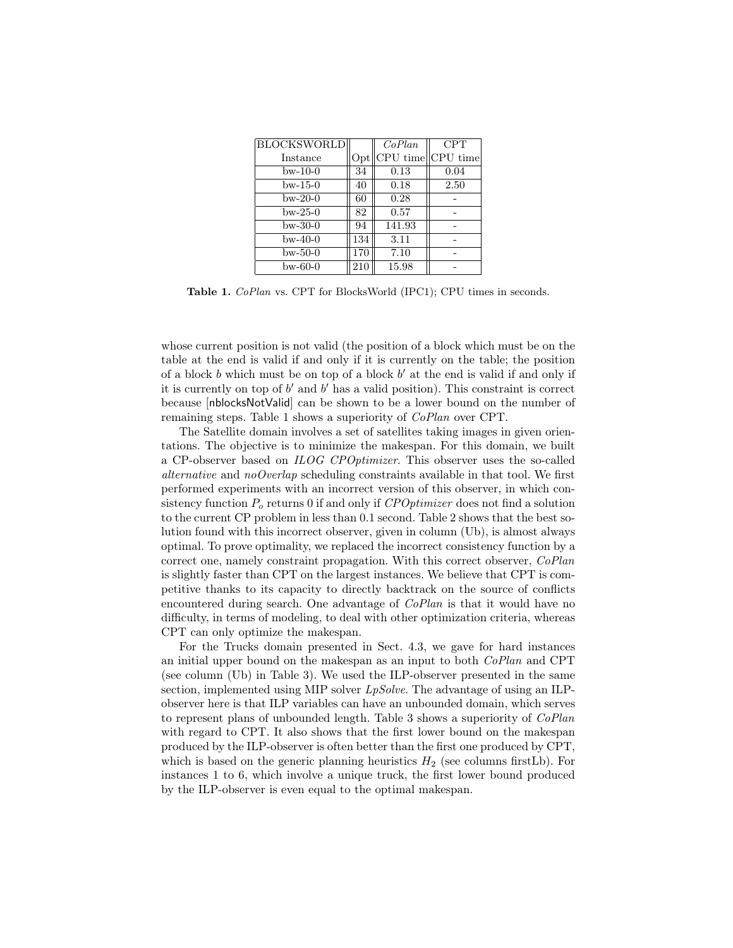| <b>BLOCKSWORLD</b> |                  | CoPlan | <b>CPT</b>              |
|--------------------|------------------|--------|-------------------------|
| Instance           | Opt <sub>1</sub> |        | $CPU$ time $  CPU$ time |
| $bw-10-0$          | 34               | 0.13   | 0.04                    |
| $bw-15-0$          | 40               | 0.18   | 2.50                    |
| $bw-20-0$          | 60               | 0.28   |                         |
| $bw-25-0$          | 82               | 0.57   |                         |
| bw-30-0            | 94               | 141.93 |                         |
| $bw-40-0$          | 134              | 3.11   |                         |
| $bw-50-0$          | 170              | 7.10   |                         |
| $bw-60-0$          | 210              | 15.98  |                         |

Table 1. *CoPlan vs.* CPT for BlocksWorld (IPC1); CPU times in seconds.

whose current position is not valid (the position of a block which must be on the table at the end is valid if and only if it is currently on the table; the position of a block  $b$  which must be on top of a block  $b'$  at the end is valid if and only if it is currently on top of  $b'$  and  $b'$  has a valid position). This constraint is correct because [nblocksNotValid] can be shown to be a lower bound on the number of remaining steps. Table 1 shows a superiority of CoPlan over CPT.

The Satellite domain involves a set of satellites taking images in given orientations. The objective is to minimize the makespan. For this domain, we built a CP-observer based on ILOG CPOptimizer. This observer uses the so-called alternative and no Overlap scheduling constraints available in that tool. We first performed experiments with an incorrect version of this observer, in which consistency function  $P<sub>o</sub>$  returns 0 if and only if  $CPOptimizer$  does not find a solution to the current CP problem in less than 0.1 second. Table 2 shows that the best solution found with this incorrect observer, given in column (Ub), is almost always optimal. To prove optimality, we replaced the incorrect consistency function by a correct one, namely constraint propagation. With this correct observer, CoPlan is slightly faster than CPT on the largest instances. We believe that CPT is competitive thanks to its capacity to directly backtrack on the source of conflicts encountered during search. One advantage of  $CoPlan$  is that it would have no difficulty, in terms of modeling, to deal with other optimization criteria, whereas CPT can only optimize the makespan.

For the Trucks domain presented in Sect. 4.3, we gave for hard instances an initial upper bound on the makespan as an input to both CoPlan and CPT (see column (Ub) in Table 3). We used the ILP-observer presented in the same section, implemented using MIP solver  $LpSolve$ . The advantage of using an ILPobserver here is that ILP variables can have an unbounded domain, which serves to represent plans of unbounded length. Table 3 shows a superiority of CoPlan with regard to CPT. It also shows that the first lower bound on the makespan produced by the ILP-observer is often better than the first one produced by CPT, which is based on the generic planning heuristics  $H_2$  (see columns first Lb). For instances 1 to 6, which involve a unique truck, the first lower bound produced by the ILP-observer is even equal to the optimal makespan.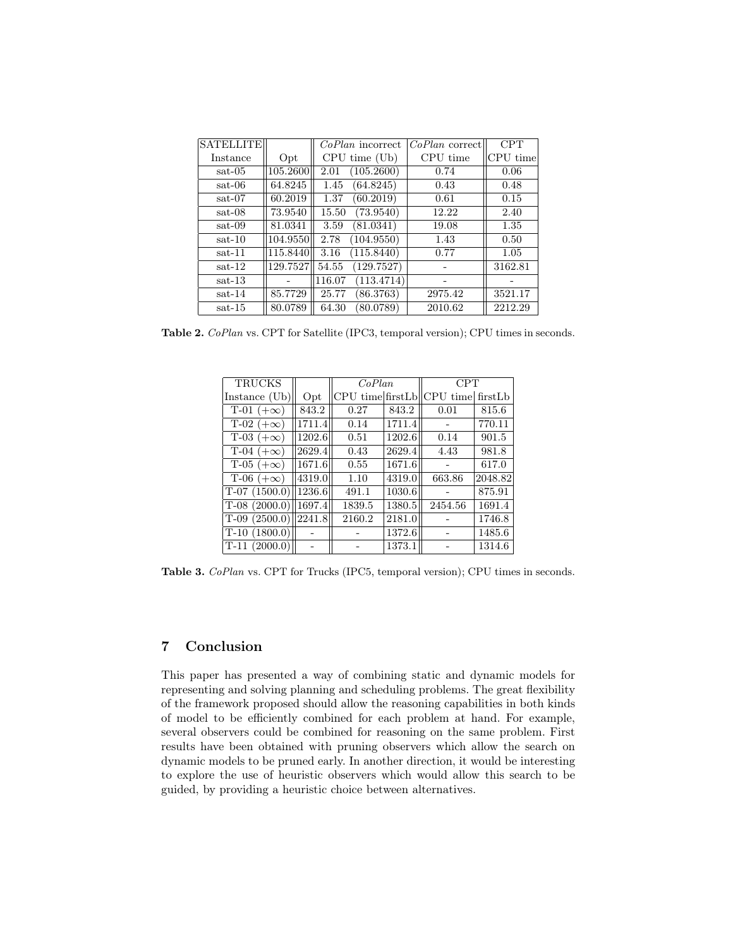| <b>SATELLITE</b> |          | <i>CoPlan</i> incorrect | $CoPlan$ correct | <b>CPT</b> |
|------------------|----------|-------------------------|------------------|------------|
| Instance         | Opt      | CPU time (Ub)           | CPU time         | CPU time   |
| $sat-05$         | 105.2600 | (105.2600)<br>2.01      | 0.74             | 0.06       |
| sat-06           | 64.8245  | (64.8245)<br>1.45       | 0.43             | 0.48       |
| sat-07           | 60.2019  | (60.2019)<br>1.37       | 0.61             | 0.15       |
| sat-08           | 73.9540  | (73.9540)<br>15.50      | 12.22            | 2.40       |
| $sat-09$         | 81.0341  | (81.0341)<br>3.59       | 19.08            | 1.35       |
| $sat-10$         | 104.9550 | (104.9550)<br>2.78      | 1.43             | 0.50       |
| $sat-11$         | 115.8440 | (115.8440)<br>3.16      | 0.77             | 1.05       |
| $sat-12$         | 129.7527 | (129.7527)<br>54.55     |                  | 3162.81    |
| $sat-13$         |          | (113.4714)<br>116.07    |                  |            |
| $sat-14$         | 85.7729  | (86.3763)<br>25.77      | 2975.42          | 3521.17    |
| $sat-15$         | 80.0789  | (80.0789)<br>64.30      | 2010.62          | 2212.29    |

Table 2. CoPlan vs. CPT for Satellite (IPC3, temporal version); CPU times in seconds.

| <b>TRUCKS</b>                  |                      | CoPlan |        | CPT                                 |         |
|--------------------------------|----------------------|--------|--------|-------------------------------------|---------|
| Instance (Ub)                  | Opt                  |        |        | CPU time first Lb CPU time first Lb |         |
| T-01 $(+\infty)$               | 843.2                | 0.27   | 843.2  | 0.01                                | 815.6   |
| T-02 $(+\infty)$               | 1711.4               | 0.14   | 1711.4 |                                     | 770.11  |
| $\overline{T}$ -03 $(+\infty)$ | 1202.6               | 0.51   | 1202.6 | 0.14                                | 901.5   |
| T-04 $(+\infty)$               | 2629.4               | 0.43   | 2629.4 | 4.43                                | 981.8   |
| $T-05 (+\infty)$               | $\vert 1671.6 \vert$ | 0.55   | 1671.6 |                                     | 617.0   |
| $T-06 (+\infty)$               | 4319.0               | 1.10   | 4319.0 | 663.86                              | 2048.82 |
| $T-07(1500.0)$                 | 1236.6               | 491.1  | 1030.6 |                                     | 875.91  |
| $T-08(2000.0)$                 | 1697.4               | 1839.5 | 1380.5 | 2454.56                             | 1691.4  |
| $T-09(2500.0)$                 | 2241.8               | 2160.2 | 2181.0 |                                     | 1746.8  |
| $T-10(1800.0)$                 |                      |        | 1372.6 |                                     | 1485.6  |
| $T-11(2000.0)$                 |                      |        | 1373.1 |                                     | 1314.6  |

Table 3. CoPlan vs. CPT for Trucks (IPC5, temporal version); CPU times in seconds.

## 7 Conclusion

This paper has presented a way of combining static and dynamic models for representing and solving planning and scheduling problems. The great flexibility of the framework proposed should allow the reasoning capabilities in both kinds of model to be efficiently combined for each problem at hand. For example, several observers could be combined for reasoning on the same problem. First results have been obtained with pruning observers which allow the search on dynamic models to be pruned early. In another direction, it would be interesting to explore the use of heuristic observers which would allow this search to be guided, by providing a heuristic choice between alternatives.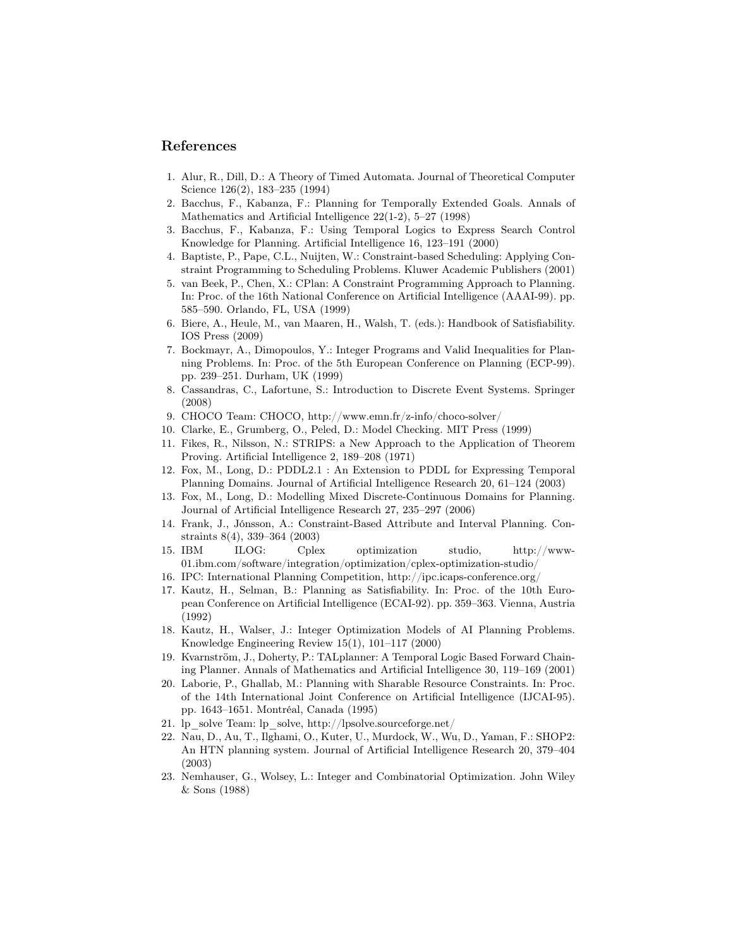## References

- 1. Alur, R., Dill, D.: A Theory of Timed Automata. Journal of Theoretical Computer Science 126(2), 183–235 (1994)
- 2. Bacchus, F., Kabanza, F.: Planning for Temporally Extended Goals. Annals of Mathematics and Artificial Intelligence 22(1-2), 5–27 (1998)
- 3. Bacchus, F., Kabanza, F.: Using Temporal Logics to Express Search Control Knowledge for Planning. Artificial Intelligence 16, 123–191 (2000)
- 4. Baptiste, P., Pape, C.L., Nuijten, W.: Constraint-based Scheduling: Applying Constraint Programming to Scheduling Problems. Kluwer Academic Publishers (2001)
- 5. van Beek, P., Chen, X.: CPlan: A Constraint Programming Approach to Planning. In: Proc. of the 16th National Conference on Artificial Intelligence (AAAI-99). pp. 585–590. Orlando, FL, USA (1999)
- 6. Biere, A., Heule, M., van Maaren, H., Walsh, T. (eds.): Handbook of Satisfiability. IOS Press (2009)
- 7. Bockmayr, A., Dimopoulos, Y.: Integer Programs and Valid Inequalities for Planning Problems. In: Proc. of the 5th European Conference on Planning (ECP-99). pp. 239–251. Durham, UK (1999)
- 8. Cassandras, C., Lafortune, S.: Introduction to Discrete Event Systems. Springer (2008)
- 9. CHOCO Team: CHOCO, http://www.emn.fr/z-info/choco-solver/
- 10. Clarke, E., Grumberg, O., Peled, D.: Model Checking. MIT Press (1999)
- 11. Fikes, R., Nilsson, N.: STRIPS: a New Approach to the Application of Theorem Proving. Artificial Intelligence 2, 189–208 (1971)
- 12. Fox, M., Long, D.: PDDL2.1 : An Extension to PDDL for Expressing Temporal Planning Domains. Journal of Artificial Intelligence Research 20, 61–124 (2003)
- 13. Fox, M., Long, D.: Modelling Mixed Discrete-Continuous Domains for Planning. Journal of Artificial Intelligence Research 27, 235–297 (2006)
- 14. Frank, J., Jónsson, A.: Constraint-Based Attribute and Interval Planning. Constraints 8(4), 339–364 (2003)
- 15. IBM ILOG: Cplex optimization studio, http://www-01.ibm.com/software/integration/optimization/cplex-optimization-studio/
- 16. IPC: International Planning Competition, http://ipc.icaps-conference.org/
- 17. Kautz, H., Selman, B.: Planning as Satisfiability. In: Proc. of the 10th European Conference on Artificial Intelligence (ECAI-92). pp. 359–363. Vienna, Austria (1992)
- 18. Kautz, H., Walser, J.: Integer Optimization Models of AI Planning Problems. Knowledge Engineering Review 15(1), 101–117 (2000)
- 19. Kvarnström, J., Doherty, P.: TALplanner: A Temporal Logic Based Forward Chaining Planner. Annals of Mathematics and Artificial Intelligence 30, 119–169 (2001)
- 20. Laborie, P., Ghallab, M.: Planning with Sharable Resource Constraints. In: Proc. of the 14th International Joint Conference on Artificial Intelligence (IJCAI-95). pp. 1643–1651. Montréal, Canada (1995)
- 21. lp\_solve Team: lp\_solve, http://lpsolve.sourceforge.net/
- 22. Nau, D., Au, T., Ilghami, O., Kuter, U., Murdock, W., Wu, D., Yaman, F.: SHOP2: An HTN planning system. Journal of Artificial Intelligence Research 20, 379–404 (2003)
- 23. Nemhauser, G., Wolsey, L.: Integer and Combinatorial Optimization. John Wiley & Sons (1988)